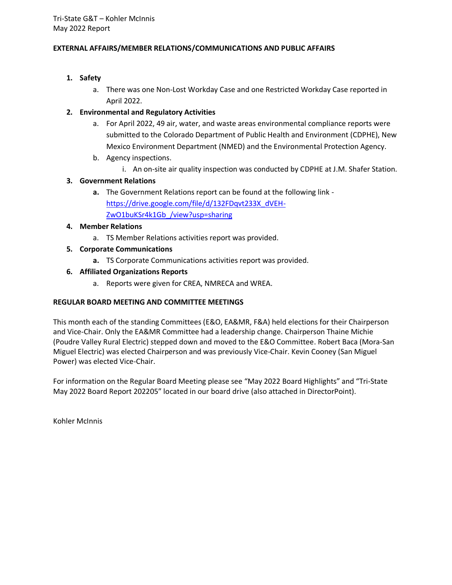## **EXTERNAL AFFAIRS/MEMBER RELATIONS/COMMUNICATIONS AND PUBLIC AFFAIRS**

## **1. Safety**

a. There was one Non-Lost Workday Case and one Restricted Workday Case reported in April 2022.

## **2. Environmental and Regulatory Activities**

- a. For April 2022, 49 air, water, and waste areas environmental compliance reports were submitted to the Colorado Department of Public Health and Environment (CDPHE), New Mexico Environment Department (NMED) and the Environmental Protection Agency.
- b. Agency inspections.
	- i. An on-site air quality inspection was conducted by CDPHE at J.M. Shafer Station.

## **3. Government Relations**

**a.** The Government Relations report can be found at the following link [https://drive.google.com/file/d/132FDqvt233X\\_dVEH-](https://drive.google.com/file/d/132FDqvt233X_dVEH-ZwO1buKSr4k1Gb_/view?usp=sharing)[ZwO1buKSr4k1Gb\\_/view?usp=sharing](https://drive.google.com/file/d/132FDqvt233X_dVEH-ZwO1buKSr4k1Gb_/view?usp=sharing)

## **4. Member Relations**

- a. TS Member Relations activities report was provided.
- **5. Corporate Communications**
	- **a.** TS Corporate Communications activities report was provided.

## **6. Affiliated Organizations Reports**

a. Reports were given for CREA, NMRECA and WREA.

## **REGULAR BOARD MEETING AND COMMITTEE MEETINGS**

This month each of the standing Committees (E&O, EA&MR, F&A) held elections for their Chairperson and Vice-Chair. Only the EA&MR Committee had a leadership change. Chairperson Thaine Michie (Poudre Valley Rural Electric) stepped down and moved to the E&O Committee. Robert Baca (Mora-San Miguel Electric) was elected Chairperson and was previously Vice-Chair. Kevin Cooney (San Miguel Power) was elected Vice-Chair.

For information on the Regular Board Meeting please see "May 2022 Board Highlights" and "Tri-State May 2022 Board Report 202205" located in our board drive (also attached in DirectorPoint).

Kohler McInnis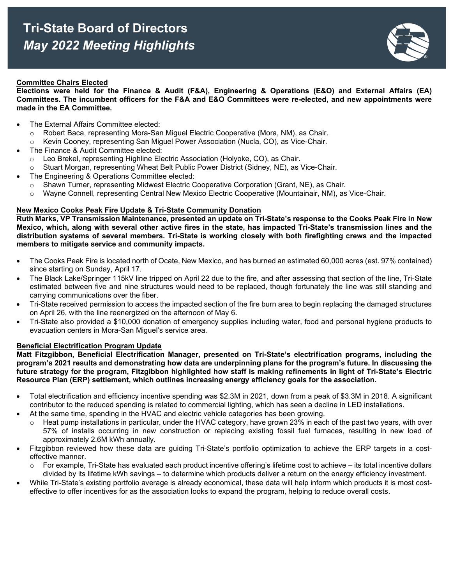

#### **Committee Chairs Elected**

**Elections were held for the Finance & Audit (F&A), Engineering & Operations (E&O) and External Affairs (EA) Committees. The incumbent officers for the F&A and E&O Committees were re-elected, and new appointments were made in the EA Committee.**

- The External Affairs Committee elected:
	- o Robert Baca, representing Mora-San Miguel Electric Cooperative (Mora, NM), as Chair.
	- o Kevin Cooney, representing San Miguel Power Association (Nucla, CO), as Vice-Chair.
- The Finance & Audit Committee elected:
	- o Leo Brekel, representing Highline Electric Association (Holyoke, CO), as Chair.
	- o Stuart Morgan, representing Wheat Belt Public Power District (Sidney, NE), as Vice-Chair.
- The Engineering & Operations Committee elected:
	- $\circ$  Shawn Turner, representing Midwest Electric Cooperative Corporation (Grant, NE), as Chair.
	- o Wayne Connell, representing Central New Mexico Electric Cooperative (Mountainair, NM), as Vice-Chair.

#### **New Mexico Cooks Peak Fire Update & Tri-State Community Donation**

**Ruth Marks, VP Transmission Maintenance, presented an update on Tri-State's response to the Cooks Peak Fire in New Mexico, which, along with several other active fires in the state, has impacted Tri-State's transmission lines and the distribution systems of several members. Tri-State is working closely with both firefighting crews and the impacted members to mitigate service and community impacts.**

- The Cooks Peak Fire is located north of Ocate, New Mexico, and has burned an estimated 60,000 acres (est. 97% contained) since starting on Sunday, April 17.
- The Black Lake/Springer 115kV line tripped on April 22 due to the fire, and after assessing that section of the line, Tri-State estimated between five and nine structures would need to be replaced, though fortunately the line was still standing and carrying communications over the fiber.
- Tri-State received permission to access the impacted section of the fire burn area to begin replacing the damaged structures on April 26, with the line reenergized on the afternoon of May 6.
- Tri-State also provided a \$10,000 donation of emergency supplies including water, food and personal hygiene products to evacuation centers in Mora-San Miguel's service area.

#### **Beneficial Electrification Program Update**

**Matt Fitzgibbon, Beneficial Electrification Manager, presented on Tri-State's electrification programs, including the program's 2021 results and demonstrating how data are underpinning plans for the program's future. In discussing the future strategy for the program, Fitzgibbon highlighted how staff is making refinements in light of Tri-State's Electric Resource Plan (ERP) settlement, which outlines increasing energy efficiency goals for the association.**

- Total electrification and efficiency incentive spending was \$2.3M in 2021, down from a peak of \$3.3M in 2018. A significant contributor to the reduced spending is related to commercial lighting, which has seen a decline in LED installations.
- At the same time, spending in the HVAC and electric vehicle categories has been growing.
	- $\circ$  Heat pump installations in particular, under the HVAC category, have grown 23% in each of the past two years, with over 57% of installs occurring in new construction or replacing existing fossil fuel furnaces, resulting in new load of approximately 2.6M kWh annually.
- Fitzgibbon reviewed how these data are guiding Tri-State's portfolio optimization to achieve the ERP targets in a costeffective manner.
	- For example, Tri-State has evaluated each product incentive offering's lifetime cost to achieve its total incentive dollars divided by its lifetime kWh savings – to determine which products deliver a return on the energy efficiency investment.
- While Tri-State's existing portfolio average is already economical, these data will help inform which products it is most costeffective to offer incentives for as the association looks to expand the program, helping to reduce overall costs.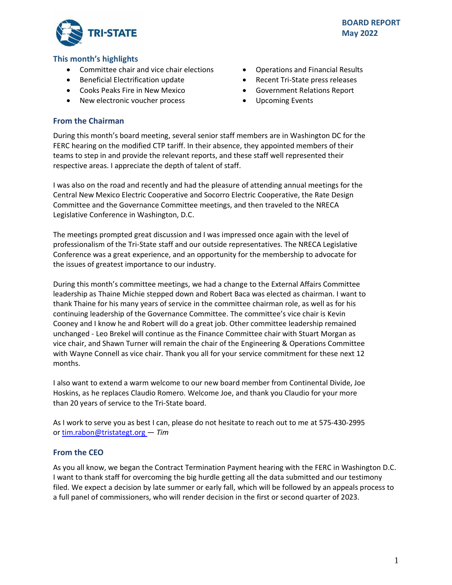

## **This month's highlights**

- Committee chair and vice chair elections
- Beneficial Electrification update
- Cooks Peaks Fire in New Mexico
- New electronic voucher process
- Operations and Financial Results
- Recent Tri-State press releases
- Government Relations Report
- Upcoming Events

# **From the Chairman**

During this month's board meeting, several senior staff members are in Washington DC for the FERC hearing on the modified CTP tariff. In their absence, they appointed members of their teams to step in and provide the relevant reports, and these staff well represented their respective areas. I appreciate the depth of talent of staff.

I was also on the road and recently and had the pleasure of attending annual meetings for the Central New Mexico Electric Cooperative and Socorro Electric Cooperative, the Rate Design Committee and the Governance Committee meetings, and then traveled to the NRECA Legislative Conference in Washington, D.C.

The meetings prompted great discussion and I was impressed once again with the level of professionalism of the Tri-State staff and our outside representatives. The NRECA Legislative Conference was a great experience, and an opportunity for the membership to advocate for the issues of greatest importance to our industry.

During this month's committee meetings, we had a change to the External Affairs Committee leadership as Thaine Michie stepped down and Robert Baca was elected as chairman. I want to thank Thaine for his many years of service in the committee chairman role, as well as for his continuing leadership of the Governance Committee. The committee's vice chair is Kevin Cooney and I know he and Robert will do a great job. Other committee leadership remained unchanged - Leo Brekel will continue as the Finance Committee chair with Stuart Morgan as vice chair, and Shawn Turner will remain the chair of the Engineering & Operations Committee with Wayne Connell as vice chair. Thank you all for your service commitment for these next 12 months.

I also want to extend a warm welcome to our new board member from Continental Divide, Joe Hoskins, as he replaces Claudio Romero. Welcome Joe, and thank you Claudio for your more than 20 years of service to the Tri-State board.

As I work to serve you as best I can, please do not hesitate to reach out to me at 575-430-2995 or [tim.rabon@tristategt.org](mailto:tim.rabon@tristategt.org) — *Tim*

# **From the CEO**

As you all know, we began the Contract Termination Payment hearing with the FERC in Washington D.C. I want to thank staff for overcoming the big hurdle getting all the data submitted and our testimony filed. We expect a decision by late summer or early fall, which will be followed by an appeals process to a full panel of commissioners, who will render decision in the first or second quarter of 2023.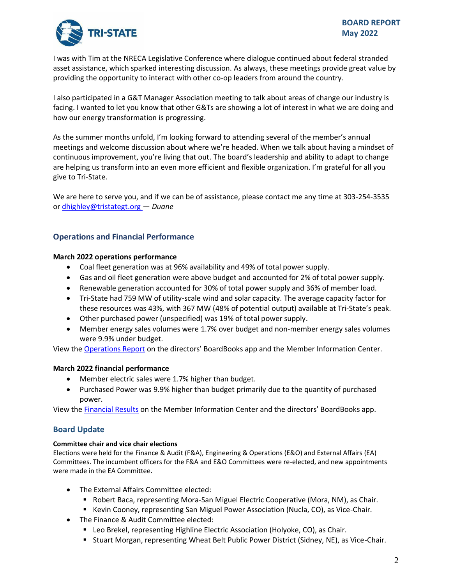

I was with Tim at the NRECA Legislative Conference where dialogue continued about federal stranded asset assistance, which sparked interesting discussion. As always, these meetings provide great value by providing the opportunity to interact with other co-op leaders from around the country.

I also participated in a G&T Manager Association meeting to talk about areas of change our industry is facing. I wanted to let you know that other G&Ts are showing a lot of interest in what we are doing and how our energy transformation is progressing.

As the summer months unfold, I'm looking forward to attending several of the member's annual meetings and welcome discussion about where we're headed. When we talk about having a mindset of continuous improvement, you're living that out. The board's leadership and ability to adapt to change are helping us transform into an even more efficient and flexible organization. I'm grateful for all you give to Tri-State.

We are here to serve you, and if we can be of assistance, please contact me any time at 303-254-3535 or [dhighley@tristategt.org](mailto:dhighley@tristategt.org) — *Duane*

## **Operations and Financial Performance**

#### **March 2022 operations performance**

- Coal fleet generation was at 96% availability and 49% of total power supply.
- Gas and oil fleet generation were above budget and accounted for 2% of total power supply.
- Renewable generation accounted for 30% of total power supply and 36% of member load.
- Tri-State had 759 MW of utility-scale wind and solar capacity. The average capacity factor for these resources was 43%, with 367 MW (48% of potential output) available at Tri-State's peak.
- Other purchased power (unspecified) was 19% of total power supply.
- Member energy sales volumes were 1.7% over budget and non-member energy sales volumes were 9.9% under budget.

View the [Operations Report](https://mic.tristategt.org/Member%20Managers/2022-05-BOD-EO%20-%20Operations%20Report.pdf) on the directors' BoardBooks app and the Member [Information Center.](https://mic.tristategt.org/Member%20Managers/2020-08-BOD%20-%20Operations%20Report.pdf)

## **March 2022 financial performance**

- Member electric sales were 1.7% higher than budget.
- Purchased Power was 9.9% higher than budget primarily due to the quantity of purchased power.

View the [Financial Results](https://mic.tristategt.org/Member%20Managers/2022-05-BOD-FIN%20-%20Financial%20Results.pdf) on the Membe[r](https://mic.tristategt.org/Member%20Managers/2020-08-BOD%20-%20Operations%20Report.pdf) Information Center and the directors' BoardBooks app.

# **Board Update**

#### **Committee chair and vice chair elections**

Elections were held for the Finance & Audit (F&A), Engineering & Operations (E&O) and External Affairs (EA) Committees. The incumbent officers for the F&A and E&O Committees were re-elected, and new appointments were made in the EA Committee.

- The External Affairs Committee elected:
	- **E** Robert Baca, representing Mora-San Miguel Electric Cooperative (Mora, NM), as Chair.
	- Kevin Cooney, representing San Miguel Power Association (Nucla, CO), as Vice-Chair.
- The Finance & Audit Committee elected:
	- **E.** Leo Brekel, representing Highline Electric Association (Holyoke, CO), as Chair.
	- **E** Stuart Morgan, representing Wheat Belt Public Power District (Sidney, NE), as Vice-Chair.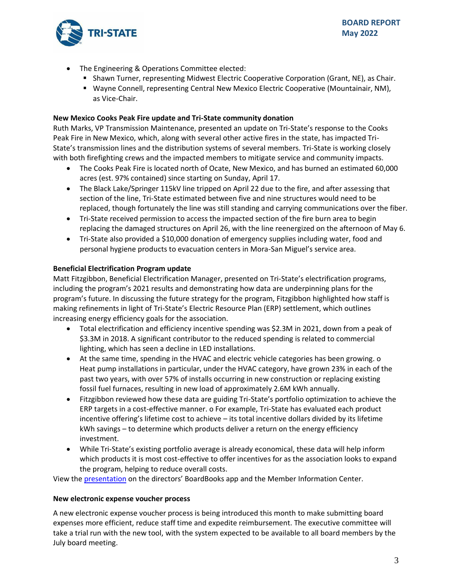

- The Engineering & Operations Committee elected:
	- **EXECT AT SHAWA THE SHAWE IS SHAWE TO SHAWE THE SHAW THE SHAW THE SHAUT SHAUT SHAUT SHAUTS** SCHAIR.
	- Wayne Connell, representing Central New Mexico Electric Cooperative (Mountainair, NM), as Vice-Chair.

## **New Mexico Cooks Peak Fire update and Tri-State community donation**

Ruth Marks, VP Transmission Maintenance, presented an update on Tri-State's response to the Cooks Peak Fire in New Mexico, which, along with several other active fires in the state, has impacted Tri-State's transmission lines and the distribution systems of several members. Tri-State is working closely with both firefighting crews and the impacted members to mitigate service and community impacts.

- The Cooks Peak Fire is located north of Ocate, New Mexico, and has burned an estimated 60,000 acres (est. 97% contained) since starting on Sunday, April 17.
- The Black Lake/Springer 115kV line tripped on April 22 due to the fire, and after assessing that section of the line, Tri-State estimated between five and nine structures would need to be replaced, though fortunately the line was still standing and carrying communications over the fiber.
- Tri-State received permission to access the impacted section of the fire burn area to begin replacing the damaged structures on April 26, with the line reenergized on the afternoon of May 6.
- Tri-State also provided a \$10,000 donation of emergency supplies including water, food and personal hygiene products to evacuation centers in Mora-San Miguel's service area.

## **Beneficial Electrification Program update**

Matt Fitzgibbon, Beneficial Electrification Manager, presented on Tri-State's electrification programs, including the program's 2021 results and demonstrating how data are underpinning plans for the program's future. In discussing the future strategy for the program, Fitzgibbon highlighted how staff is making refinements in light of Tri-State's Electric Resource Plan (ERP) settlement, which outlines increasing energy efficiency goals for the association.

- Total electrification and efficiency incentive spending was \$2.3M in 2021, down from a peak of \$3.3M in 2018. A significant contributor to the reduced spending is related to commercial lighting, which has seen a decline in LED installations.
- At the same time, spending in the HVAC and electric vehicle categories has been growing. o Heat pump installations in particular, under the HVAC category, have grown 23% in each of the past two years, with over 57% of installs occurring in new construction or replacing existing fossil fuel furnaces, resulting in new load of approximately 2.6M kWh annually.
- Fitzgibbon reviewed how these data are guiding Tri-State's portfolio optimization to achieve the ERP targets in a cost-effective manner. o For example, Tri-State has evaluated each product incentive offering's lifetime cost to achieve – its total incentive dollars divided by its lifetime kWh savings – to determine which products deliver a return on the energy efficiency investment.
- While Tri-State's existing portfolio average is already economical, these data will help inform which products it is most cost-effective to offer incentives for as the association looks to expand the program, helping to reduce overall costs.

View the [presentation](https://mic.tristategt.org/Member%20Managers/2022-05-BOD%20-%20Beneficial%20Electrification%20and%20Efficiency%20Program.pdf) on the directors' BoardBooks app and the Member [Information Center.](https://mic.tristategt.org/Member%20Managers/2020-08-BOD%20-%20Operations%20Report.pdf)

#### **New electronic expense voucher process**

A new electronic expense voucher process is being introduced this month to make submitting board expenses more efficient, reduce staff time and expedite reimbursement. The executive committee will take a trial run with the new tool, with the system expected to be available to all board members by the July board meeting.